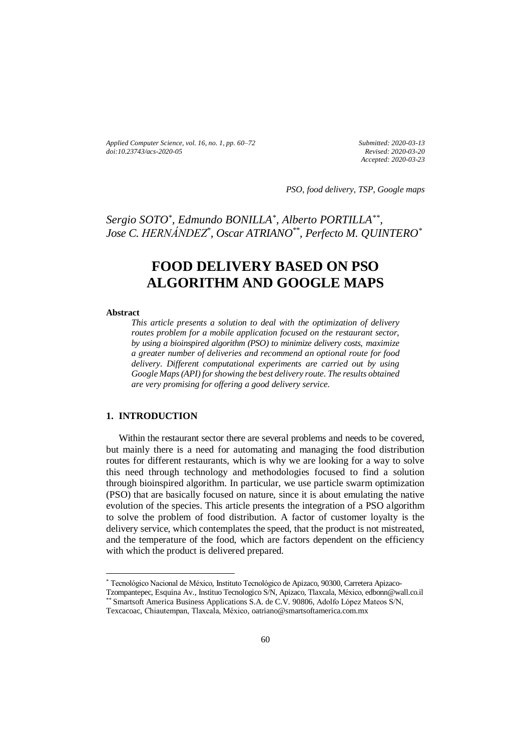*Applied Computer Science, vol. 16, no. 1, pp. 60–72 doi[:10.23743/acs-2020-05](http://acs.pollub.pl/pdf/v16n1/5.pdf)*

*Submitted: 2020-03-13 Revised: 2020-03-20 Accepted: 2020-03-23*

*PSO, food delivery, TSP, Google maps*

*Sergio SOTO\* , Edmundo BONILLA\* , Alberto PORTILLA\*\* , Jose C. HERNÁNDEZ*\* *, Oscar ATRIANO*\*\**, Perfecto M. QUINTERO\**

# **FOOD DELIVERY BASED ON PSO ALGORITHM AND GOOGLE MAPS**

#### **Abstract**

 $\overline{a}$ 

*This article presents a solution to deal with the optimization of delivery routes problem for a mobile application focused on the restaurant sector, by using a bioinspired algorithm (PSO) to minimize delivery costs, maximize a greater number of deliveries and recommend an optional route for food delivery. Different computational experiments are carried out by using Google Maps (API) for showing the best delivery route. The results obtained are very promising for offering a good delivery service.*

## **1. INTRODUCTION**

Within the restaurant sector there are several problems and needs to be covered, but mainly there is a need for automating and managing the food distribution routes for different restaurants, which is why we are looking for a way to solve this need through technology and methodologies focused to find a solution through bioinspired algorithm. In particular, we use particle swarm optimization (PSO) that are basically focused on nature, since it is about emulating the native evolution of the species. This article presents the integration of a PSO algorithm to solve the problem of food distribution. A factor of customer loyalty is the delivery service, which contemplates the speed, that the product is not mistreated, and the temperature of the food, which are factors dependent on the efficiency with which the product is delivered prepared.

<sup>\*</sup> Tecnológico Nacional de México, Instituto Tecnológico de Apizaco, 90300, Carretera Apizaco-

Tzompantepec, Esquina Av., Instituo Tecnologico S/N, Apizaco, Tlaxcala, México, edbonn@wall.co.il \*\* Smartsoft America Business Applications S.A. de C.V. 90806, Adolfo López Mateos S/N, Texcacoac, Chiautempan, Tlaxcala, México, oatriano@smartsoftamerica.com.mx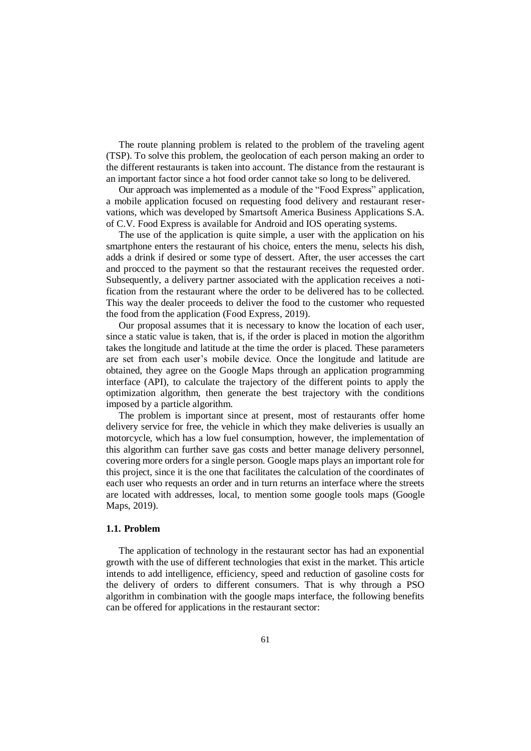The route planning problem is related to the problem of the traveling agent (TSP). To solve this problem, the geolocation of each person making an order to the different restaurants is taken into account. The distance from the restaurant is an important factor since a hot food order cannot take so long to be delivered.

Our approach was implemented as a module of the "Food Express" application, a mobile application focused on requesting food delivery and restaurant reservations, which was developed by Smartsoft America Business Applications S.A. of C.V. Food Express is available for Android and IOS operating systems.

The use of the application is quite simple, a user with the application on his smartphone enters the restaurant of his choice, enters the menu, selects his dish, adds a drink if desired or some type of dessert. After, the user accesses the cart and procced to the payment so that the restaurant receives the requested order. Subsequently, a delivery partner associated with the application receives a notification from the restaurant where the order to be delivered has to be collected. This way the dealer proceeds to deliver the food to the customer who requested the food from the application (Food Express, 2019).

Our proposal assumes that it is necessary to know the location of each user, since a static value is taken, that is, if the order is placed in motion the algorithm takes the longitude and latitude at the time the order is placed. These parameters are set from each user's mobile device. Once the longitude and latitude are obtained, they agree on the Google Maps through an application programming interface (API), to calculate the trajectory of the different points to apply the optimization algorithm, then generate the best trajectory with the conditions imposed by a particle algorithm.

The problem is important since at present, most of restaurants offer home delivery service for free, the vehicle in which they make deliveries is usually an motorcycle, which has a low fuel consumption, however, the implementation of this algorithm can further save gas costs and better manage delivery personnel, covering more orders for a single person. Google maps plays an important role for this project, since it is the one that facilitates the calculation of the coordinates of each user who requests an order and in turn returns an interface where the streets are located with addresses, local, to mention some google tools maps (Google Maps, 2019).

#### **1.1. Problem**

The application of technology in the restaurant sector has had an exponential growth with the use of different technologies that exist in the market. This article intends to add intelligence, efficiency, speed and reduction of gasoline costs for the delivery of orders to different consumers. That is why through a PSO algorithm in combination with the google maps interface, the following benefits can be offered for applications in the restaurant sector: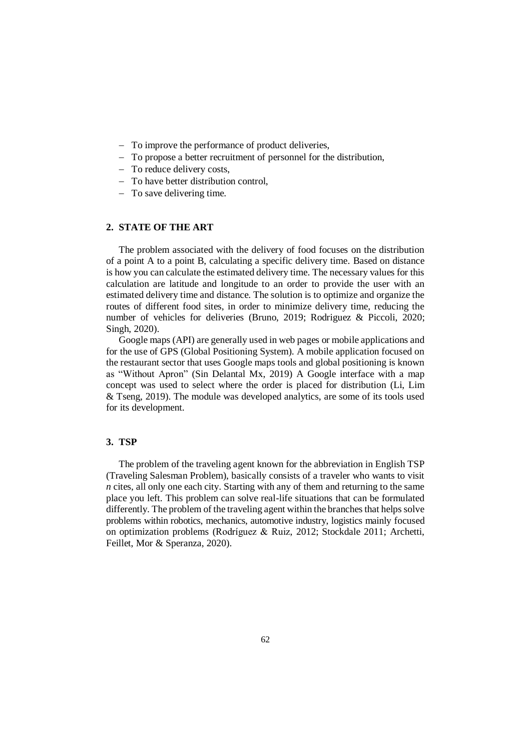- To improve the performance of product deliveries,
- To propose a better recruitment of personnel for the distribution,
- To reduce delivery costs,
- To have better distribution control,
- To save delivering time.

# **2. STATE OF THE ART**

The problem associated with the delivery of food focuses on the distribution of a point A to a point B, calculating a specific delivery time. Based on distance is how you can calculate the estimated delivery time. The necessary values for this calculation are latitude and longitude to an order to provide the user with an estimated delivery time and distance. The solution is to optimize and organize the routes of different food sites, in order to minimize delivery time, reducing the number of vehicles for deliveries (Bruno, 2019; Rodriguez & Piccoli, 2020; Singh, 2020).

Google maps (API) are generally used in web pages or mobile applications and for the use of GPS (Global Positioning System). A mobile application focused on the restaurant sector that uses Google maps tools and global positioning is known as "Without Apron" (Sin Delantal Mx, 2019) A Google interface with a map concept was used to select where the order is placed for distribution (Li, Lim & Tseng, 2019). The module was developed analytics, are some of its tools used for its development.

#### **3. TSP**

The problem of the traveling agent known for the abbreviation in English TSP (Traveling Salesman Problem), basically consists of a traveler who wants to visit *n* cites, all only one each city. Starting with any of them and returning to the same place you left. This problem can solve real-life situations that can be formulated differently. The problem of the traveling agent within the branches that helps solve problems within robotics, mechanics, automotive industry, logistics mainly focused on optimization problems (Rodríguez & Ruiz, 2012; Stockdale 2011; Archetti, Feillet, Mor & Speranza, 2020).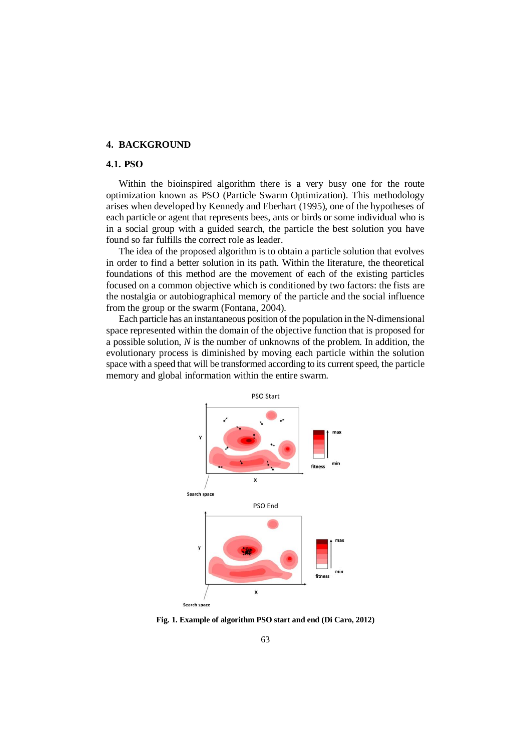#### **4. BACKGROUND**

#### **4.1. PSO**

Within the bioinspired algorithm there is a very busy one for the route optimization known as PSO (Particle Swarm Optimization). This methodology arises when developed by Kennedy and Eberhart (1995), one of the hypotheses of each particle or agent that represents bees, ants or birds or some individual who is in a social group with a guided search, the particle the best solution you have found so far fulfills the correct role as leader.

The idea of the proposed algorithm is to obtain a particle solution that evolves in order to find a better solution in its path. Within the literature, the theoretical foundations of this method are the movement of each of the existing particles focused on a common objective which is conditioned by two factors: the fists are the nostalgia or autobiographical memory of the particle and the social influence from the group or the swarm (Fontana, 2004).

Each particle has an instantaneous position of the population in the N-dimensional space represented within the domain of the objective function that is proposed for a possible solution, *N* is the number of unknowns of the problem. In addition, the evolutionary process is diminished by moving each particle within the solution space with a speed that will be transformed according to its current speed, the particle memory and global information within the entire swarm.



**Fig. 1. Example of algorithm PSO start and end (Di Caro, 2012)**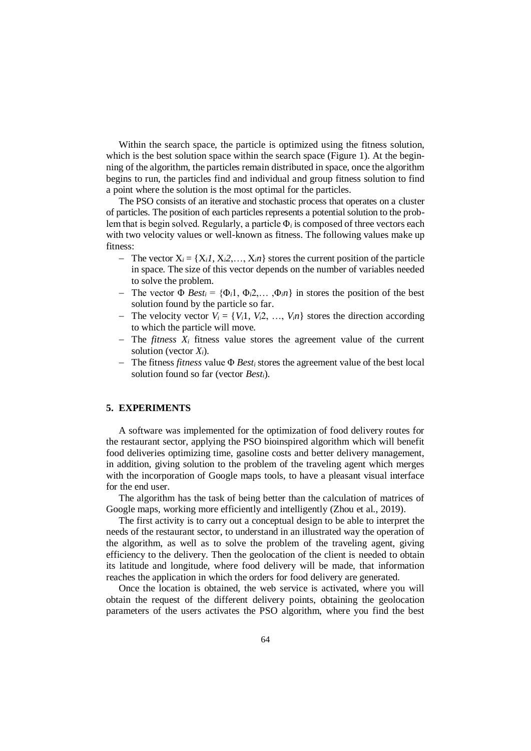Within the search space, the particle is optimized using the fitness solution, which is the best solution space within the search space (Figure 1). At the beginning of the algorithm, the particles remain distributed in space, once the algorithm begins to run, the particles find and individual and group fitness solution to find a point where the solution is the most optimal for the particles.

The PSO consists of an iterative and stochastic process that operates on a cluster of particles. The position of each particles represents a potential solution to the problem that is begin solved. Regularly, a particle Φ*<sup>i</sup>* is composed of three vectors each with two velocity values or well-known as fitness. The following values make up fitness:

- The vector  $X_i = \{X_i, X_i, Z, \ldots, X_i, n\}$  stores the current position of the particle in space. The size of this vector depends on the number of variables needed to solve the problem.
- The vector  $\Phi$  *Best<sub>i</sub>* = { $\Phi_i$ 1,  $\Phi_i$ 2,..., $\Phi_i$ <sub>*n*</sub>} in stores the position of the best solution found by the particle so far.
- The velocity vector  $V_i = \{V_i1, V_i2, ..., V_i n\}$  stores the direction according to which the particle will move.
- The *fitness X<sup>i</sup>* fitness value stores the agreement value of the current solution (vector *Xi*).
- The fitness *fitness* value Φ *Best<sup>i</sup>* stores the agreement value of the best local solution found so far (vector *Besti*).

### **5. EXPERIMENTS**

A software was implemented for the optimization of food delivery routes for the restaurant sector, applying the PSO bioinspired algorithm which will benefit food deliveries optimizing time, gasoline costs and better delivery management, in addition, giving solution to the problem of the traveling agent which merges with the incorporation of Google maps tools, to have a pleasant visual interface for the end user.

The algorithm has the task of being better than the calculation of matrices of Google maps, working more efficiently and intelligently (Zhou et al., 2019).

The first activity is to carry out a conceptual design to be able to interpret the needs of the restaurant sector, to understand in an illustrated way the operation of the algorithm, as well as to solve the problem of the traveling agent, giving efficiency to the delivery. Then the geolocation of the client is needed to obtain its latitude and longitude, where food delivery will be made, that information reaches the application in which the orders for food delivery are generated.

Once the location is obtained, the web service is activated, where you will obtain the request of the different delivery points, obtaining the geolocation parameters of the users activates the PSO algorithm, where you find the best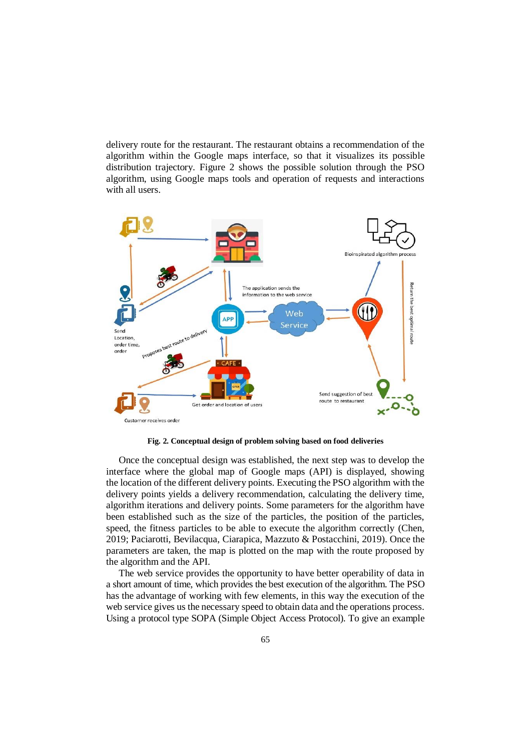delivery route for the restaurant. The restaurant obtains a recommendation of the algorithm within the Google maps interface, so that it visualizes its possible distribution trajectory. Figure 2 shows the possible solution through the PSO algorithm, using Google maps tools and operation of requests and interactions with all users.



**Fig. 2. Conceptual design of problem solving based on food deliveries**

Once the conceptual design was established, the next step was to develop the interface where the global map of Google maps (API) is displayed, showing the location of the different delivery points. Executing the PSO algorithm with the delivery points yields a delivery recommendation, calculating the delivery time, algorithm iterations and delivery points. Some parameters for the algorithm have been established such as the size of the particles, the position of the particles, speed, the fitness particles to be able to execute the algorithm correctly (Chen, 2019; Paciarotti, Bevilacqua, Ciarapica, Mazzuto & Postacchini, 2019). Once the parameters are taken, the map is plotted on the map with the route proposed by the algorithm and the API.

The web service provides the opportunity to have better operability of data in a short amount of time, which provides the best execution of the algorithm. The PSO has the advantage of working with few elements, in this way the execution of the web service gives us the necessary speed to obtain data and the operations process. Using a protocol type SOPA (Simple Object Access Protocol). To give an example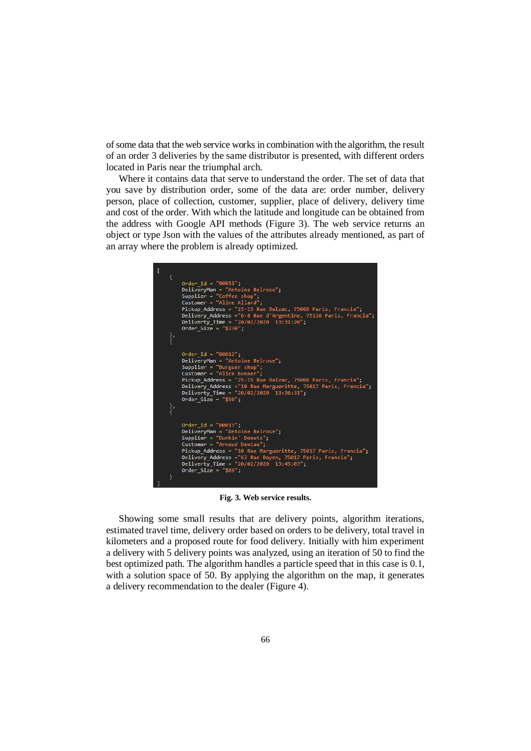of some data that the web service works in combination with the algorithm, the result of an order 3 deliveries by the same distributor is presented, with different orders located in Paris near the triumphal arch.

Where it contains data that serve to understand the order. The set of data that you save by distribution order, some of the data are: order number, delivery person, place of collection, customer, supplier, place of delivery, delivery time and cost of the order. With which the latitude and longitude can be obtained from the address with Google API methods (Figure 3). The web service returns an object or type Json with the values of the attributes already mentioned, as part of an array where the problem is already optimized.



**Fig. 3. Web service results.**

Showing some small results that are delivery points, algorithm iterations, estimated travel time, delivery order based on orders to be delivery, total travel in kilometers and a proposed route for food delivery. Initially with him experiment a delivery with 5 delivery points was analyzed, using an iteration of 50 to find the best optimized path. The algorithm handles a particle speed that in this case is 0.1, with a solution space of 50. By applying the algorithm on the map, it generates a delivery recommendation to the dealer (Figure 4).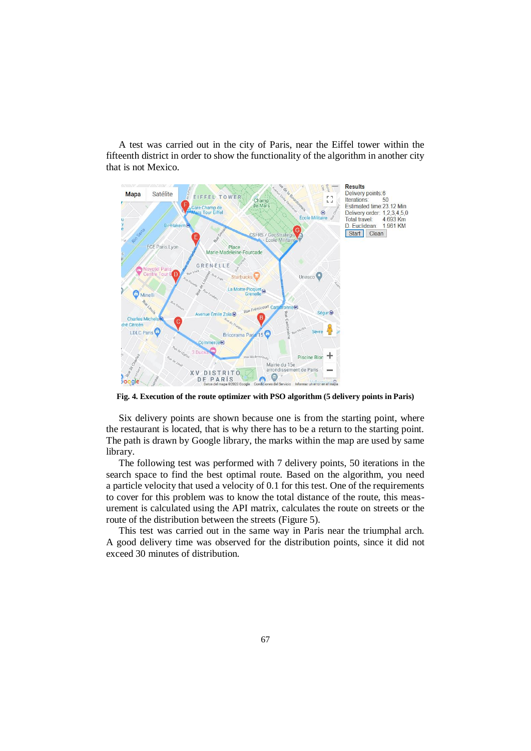A test was carried out in the city of Paris, near the Eiffel tower within the fifteenth district in order to show the functionality of the algorithm in another city that is not Mexico.



**Fig. 4. Execution of the route optimizer with PSO algorithm (5 delivery points in Paris)**

Six delivery points are shown because one is from the starting point, where the restaurant is located, that is why there has to be a return to the starting point. The path is drawn by Google library, the marks within the map are used by same library.

The following test was performed with 7 delivery points, 50 iterations in the search space to find the best optimal route. Based on the algorithm, you need a particle velocity that used a velocity of 0.1 for this test. One of the requirements to cover for this problem was to know the total distance of the route, this measurement is calculated using the API matrix, calculates the route on streets or the route of the distribution between the streets (Figure 5).

This test was carried out in the same way in Paris near the triumphal arch. A good delivery time was observed for the distribution points, since it did not exceed 30 minutes of distribution.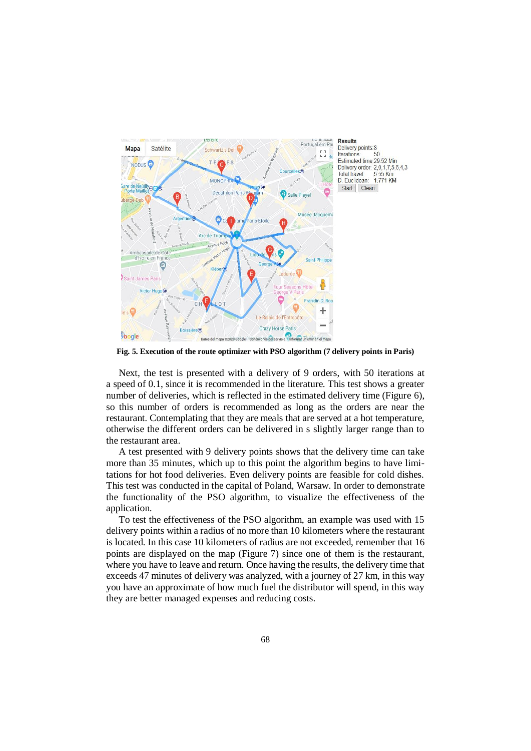

**Fig. 5. Execution of the route optimizer with PSO algorithm (7 delivery points in Paris)**

Next, the test is presented with a delivery of 9 orders, with 50 iterations at a speed of 0.1, since it is recommended in the literature. This test shows a greater number of deliveries, which is reflected in the estimated delivery time (Figure 6), so this number of orders is recommended as long as the orders are near the restaurant. Contemplating that they are meals that are served at a hot temperature, otherwise the different orders can be delivered in s slightly larger range than to the restaurant area.

A test presented with 9 delivery points shows that the delivery time can take more than 35 minutes, which up to this point the algorithm begins to have limitations for hot food deliveries. Even delivery points are feasible for cold dishes. This test was conducted in the capital of Poland, Warsaw. In order to demonstrate the functionality of the PSO algorithm, to visualize the effectiveness of the application.

To test the effectiveness of the PSO algorithm, an example was used with 15 delivery points within a radius of no more than 10 kilometers where the restaurant is located. In this case 10 kilometers of radius are not exceeded, remember that 16 points are displayed on the map (Figure 7) since one of them is the restaurant, where you have to leave and return. Once having the results, the delivery time that exceeds 47 minutes of delivery was analyzed, with a journey of 27 km, in this way you have an approximate of how much fuel the distributor will spend, in this way they are better managed expenses and reducing costs.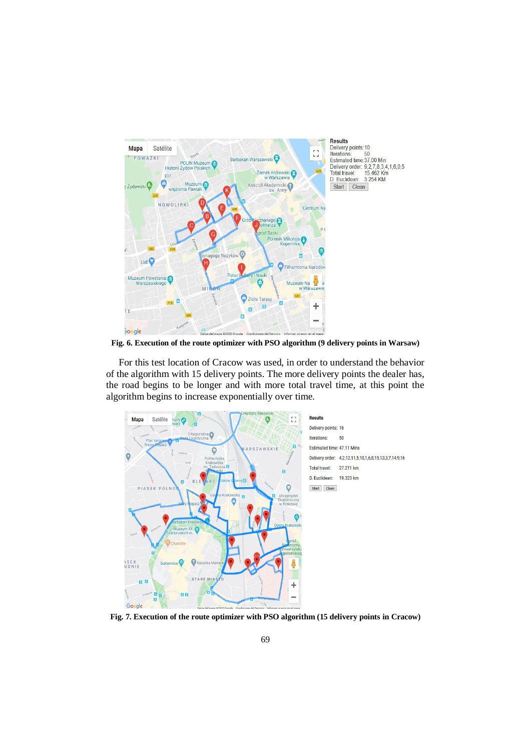

**Fig. 6. Execution of the route optimizer with PSO algorithm (9 delivery points in Warsaw)**

For this test location of Cracow was used, in order to understand the behavior of the algorithm with 15 delivery points. The more delivery points the dealer has, the road begins to be longer and with more total travel time, at this point the algorithm begins to increase exponentially over time.



**Fig. 7. Execution of the route optimizer with PSO algorithm (15 delivery points in Cracow)**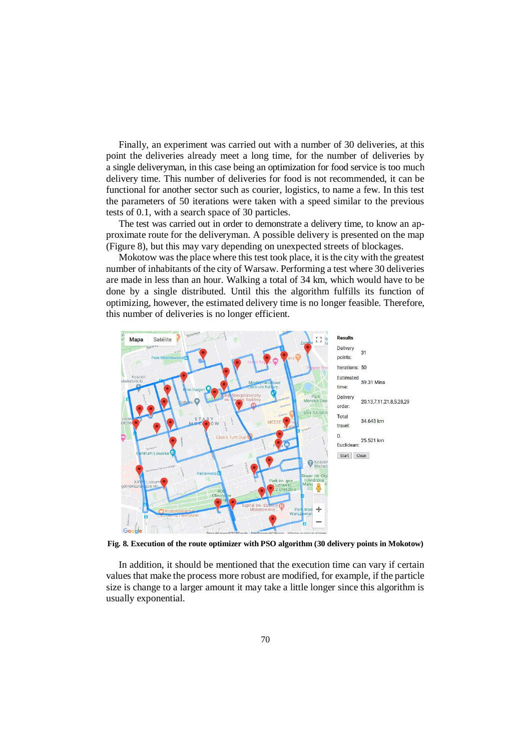Finally, an experiment was carried out with a number of 30 deliveries, at this point the deliveries already meet a long time, for the number of deliveries by a single deliveryman, in this case being an optimization for food service is too much delivery time. This number of deliveries for food is not recommended, it can be functional for another sector such as courier, logistics, to name a few. In this test the parameters of 50 iterations were taken with a speed similar to the previous tests of 0.1, with a search space of 30 particles.

The test was carried out in order to demonstrate a delivery time, to know an approximate route for the deliveryman. A possible delivery is presented on the map (Figure 8), but this may vary depending on unexpected streets of blockages.

Mokotow was the place where this test took place, it is the city with the greatest number of inhabitants of the city of Warsaw. Performing a test where 30 deliveries are made in less than an hour. Walking a total of 34 km, which would have to be done by a single distributed. Until this the algorithm fulfills its function of optimizing, however, the estimated delivery time is no longer feasible. Therefore, this number of deliveries is no longer efficient.



**Fig. 8. Execution of the route optimizer with PSO algorithm (30 delivery points in Mokotow)**

In addition, it should be mentioned that the execution time can vary if certain values that make the process more robust are modified, for example, if the particle size is change to a larger amount it may take a little longer since this algorithm is usually exponential.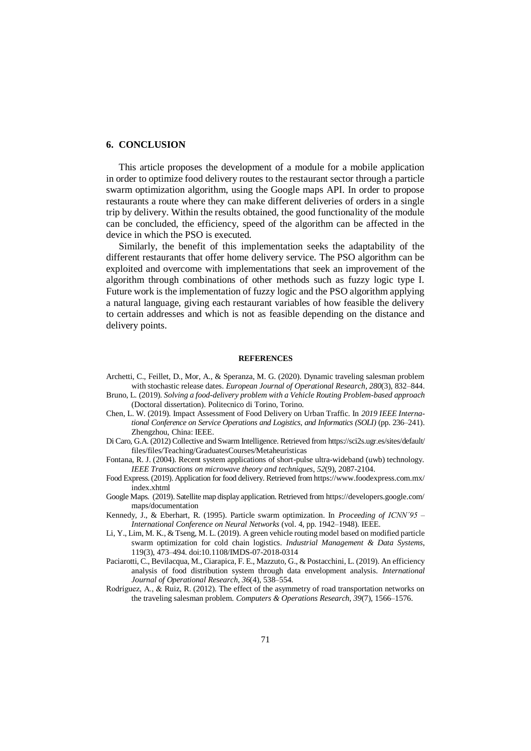#### **6. CONCLUSION**

This article proposes the development of a module for a mobile application in order to optimize food delivery routes to the restaurant sector through a particle swarm optimization algorithm, using the Google maps API. In order to propose restaurants a route where they can make different deliveries of orders in a single trip by delivery. Within the results obtained, the good functionality of the module can be concluded, the efficiency, speed of the algorithm can be affected in the device in which the PSO is executed.

Similarly, the benefit of this implementation seeks the adaptability of the different restaurants that offer home delivery service. The PSO algorithm can be exploited and overcome with implementations that seek an improvement of the algorithm through combinations of other methods such as fuzzy logic type I. Future work is the implementation of fuzzy logic and the PSO algorithm applying a natural language, giving each restaurant variables of how feasible the delivery to certain addresses and which is not as feasible depending on the distance and delivery points.

#### **REFERENCES**

- Archetti, C., Feillet, D., Mor, A., & Speranza, M. G. (2020). Dynamic traveling salesman problem with stochastic release dates. *European Journal of Operational Research*, *280*(3), 832–844.
- Bruno, L. (2019). *Solving a food-delivery problem with a Vehicle Routing Problem-based approach*  (Doctoral dissertation). Politecnico di Torino, Torino*.*
- Chen, L. W. (2019). Impact Assessment of Food Delivery on Urban Traffic. In *2019 IEEE International Conference on Service Operations and Logistics, and Informatics (SOLI)* (pp. 236–241). Zhengzhou, China: IEEE.
- Di Caro, G.A. (2012) Collective and Swarm Intelligence. Retrieved from https://sci2s.ugr.es/sites/default/ files/files/Teaching/GraduatesCourses/Metaheuristicas
- Fontana, R. J. (2004). Recent system applications of short-pulse ultra-wideband (uwb) technology. *IEEE Transactions on microwave theory and techniques*, *52*(9), 2087-2104.
- Food Express. (2019). Application for food delivery. Retrieved from https://www.foodexpress.com.mx/ index.xhtml
- Google Maps. (2019). Satellite map display application. Retrieved from https://developers.google.com/ maps/documentation
- Kennedy, J., & Eberhart, R. (1995). Particle swarm optimization. In *Proceeding of ICNN´95 – International Conference on Neural Networks* (vol. 4, pp. 1942–1948). IEEE.
- Li, Y., Lim, M. K., & Tseng, M. L. (2019). A green vehicle routing model based on modified particle swarm optimization for cold chain logistics. *Industrial Management & Data Systems*, 119(3), 473–494. doi:10.1108/IMDS-07-2018-0314
- Paciarotti, C., Bevilacqua, M., Ciarapica, F. E., Mazzuto, G., & Postacchini, L. (2019). An efficiency analysis of food distribution system through data envelopment analysis. *International Journal of Operational Research*, *36*(4), 538–554.
- Rodríguez, A., & Ruiz, R. (2012). The effect of the asymmetry of road transportation networks on the traveling salesman problem. *Computers & Operations Research*, *39*(7), 1566–1576.